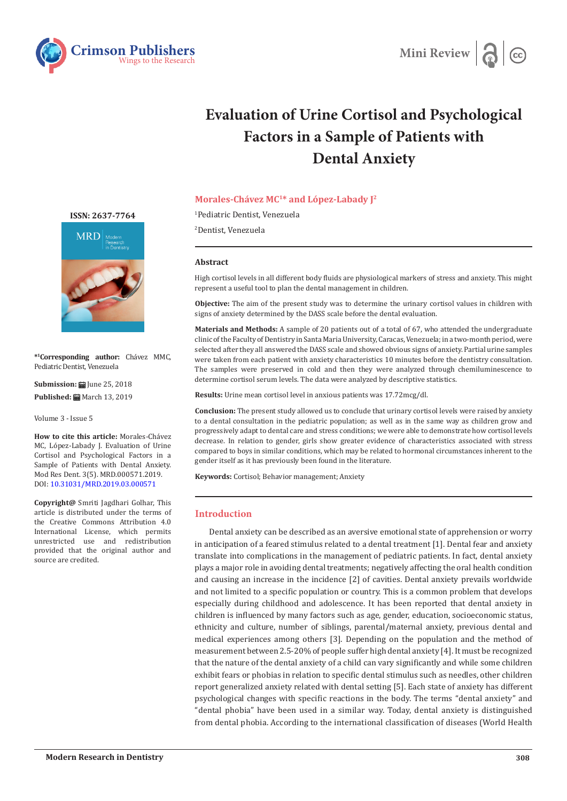



# **Evaluation of Urine Cortisol and Psychological Factors in a Sample of Patients with Dental Anxiety**

# **Morales-Chávez MC1\* and López-Labady J2**

1 Pediatric Dentist, Venezuela

2 Dentist, Venezuela

### **Abstract**

High cortisol levels in all different body fluids are physiological markers of stress and anxiety. This might represent a useful tool to plan the dental management in children.

**Objective:** The aim of the present study was to determine the urinary cortisol values in children with signs of anxiety determined by the DASS scale before the dental evaluation.

**Materials and Methods:** A sample of 20 patients out of a total of 67, who attended the undergraduate clinic of the Faculty of Dentistry in Santa Maria University, Caracas, Venezuela; in a two-month period, were selected after they all answered the DASS scale and showed obvious signs of anxiety. Partial urine samples were taken from each patient with anxiety characteristics 10 minutes before the dentistry consultation. The samples were preserved in cold and then they were analyzed through chemiluminescence to determine cortisol serum levels. The data were analyzed by descriptive statistics.

**Results:** Urine mean cortisol level in anxious patients was 17.72mcg/dl.

**Conclusion:** The present study allowed us to conclude that urinary cortisol levels were raised by anxiety to a dental consultation in the pediatric population; as well as in the same way as children grow and progressively adapt to dental care and stress conditions; we were able to demonstrate how cortisol levels decrease. In relation to gender, girls show greater evidence of characteristics associated with stress compared to boys in similar conditions, which may be related to hormonal circumstances inherent to the gender itself as it has previously been found in the literature.

**Keywords:** Cortisol; Behavior management; Anxiety

## **Introduction**

Dental anxiety can be described as an aversive emotional state of apprehension or worry in anticipation of a feared stimulus related to a dental treatment [1]. Dental fear and anxiety translate into complications in the management of pediatric patients. In fact, dental anxiety plays a major role in avoiding dental treatments; negatively affecting the oral health condition and causing an increase in the incidence [2] of cavities. Dental anxiety prevails worldwide and not limited to a specific population or country. This is a common problem that develops especially during childhood and adolescence. It has been reported that dental anxiety in children is influenced by many factors such as age, gender, education, socioeconomic status, ethnicity and culture, number of siblings, parental/maternal anxiety, previous dental and medical experiences among others [3]. Depending on the population and the method of measurement between 2.5-20% of people suffer high dental anxiety [4]. It must be recognized that the nature of the dental anxiety of a child can vary significantly and while some children exhibit fears or phobias in relation to specific dental stimulus such as needles, other children report generalized anxiety related with dental setting [5]. Each state of anxiety has different psychological changes with specific reactions in the body. The terms "dental anxiety" and "dental phobia" have been used in a similar way. Today, dental anxiety is distinguished from dental phobia. According to the international classification of diseases (World Health

**[ISSN: 2637-7764](https://crimsonpublishers.com/mrd/)**



**\*1 Corresponding author:** Chávez MMC, Pediatric Dentist, Venezuela

**Submission: 自** June 25, 2018 **Published: 開** March 13, 2019

Volume 3 - Issue 5

**How to cite this article:** Morales-Chávez MC, López-Labady J. Evaluation of Urine Cortisol and Psychological Factors in a Sample of Patients with Dental Anxiety. Mod Res Dent. 3(5). MRD.000571.2019. DOI: [10.31031/MRD.2019.03.000](http://dx.doi.org/10.31031/MRD.2019.03.000571)571

**Copyright@** Smriti Jagdhari Golhar, This article is distributed under the terms of the Creative Commons Attribution 4.0 International License, which permits unrestricted use and redistribution provided that the original author and source are credited.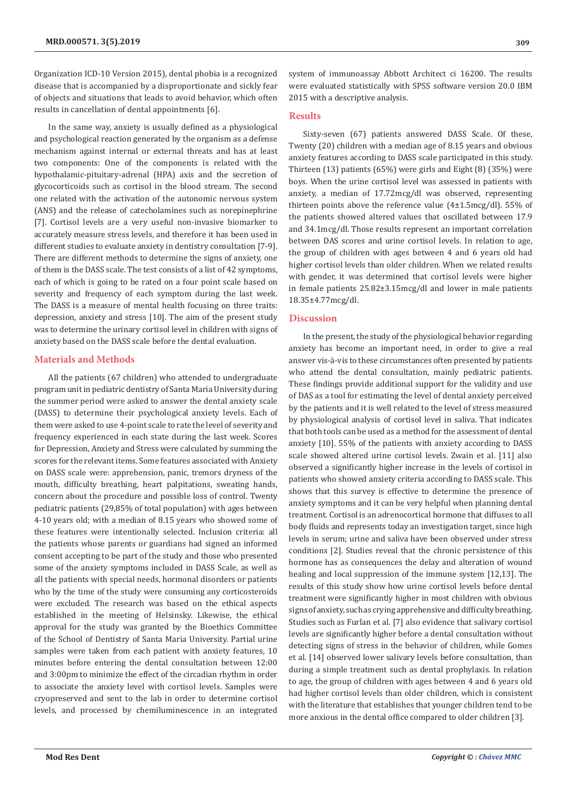Organization ICD-10 Version 2015), dental phobia is a recognized disease that is accompanied by a disproportionate and sickly fear of objects and situations that leads to avoid behavior, which often results in cancellation of dental appointments [6].

In the same way, anxiety is usually defined as a physiological and psychological reaction generated by the organism as a defense mechanism against internal or external threats and has at least two components: One of the components is related with the hypothalamic-pituitary-adrenal (HPA) axis and the secretion of glycocorticoids such as cortisol in the blood stream. The second one related with the activation of the autonomic nervous system (ANS) and the release of catecholamines such as norepinephrine [7]. Cortisol levels are a very useful non-invasive biomarker to accurately measure stress levels, and therefore it has been used in different studies to evaluate anxiety in dentistry consultation [7-9]. There are different methods to determine the signs of anxiety, one of them is the DASS scale. The test consists of a list of 42 symptoms, each of which is going to be rated on a four point scale based on severity and frequency of each symptom during the last week. The DASS is a measure of mental health focusing on three traits: depression, anxiety and stress [10]. The aim of the present study was to determine the urinary cortisol level in children with signs of anxiety based on the DASS scale before the dental evaluation.

# **Materials and Methods**

All the patients (67 children) who attended to undergraduate program unit in pediatric dentistry of Santa Maria University during the summer period were asked to answer the dental anxiety scale (DASS) to determine their psychological anxiety levels. Each of them were asked to use 4-point scale to rate the level of severity and frequency experienced in each state during the last week. Scores for Depression, Anxiety and Stress were calculated by summing the scores for the relevant items. Some features associated with Anxiety on DASS scale were: apprehension, panic, tremors dryness of the mouth, difficulty breathing, heart palpitations, sweating hands, concern about the procedure and possible loss of control. Twenty pediatric patients (29,85% of total population) with ages between 4-10 years old; with a median of 8.15 years who showed some of these features were intentionally selected. Inclusion criteria: all the patients whose parents or guardians had signed an informed consent accepting to be part of the study and those who presented some of the anxiety symptoms included in DASS Scale, as well as all the patients with special needs, hormonal disorders or patients who by the time of the study were consuming any corticosteroids were excluded. The research was based on the ethical aspects established in the meeting of Helsinsky. Likewise, the ethical approval for the study was granted by the Bioethics Committee of the School of Dentistry of Santa Maria University. Partial urine samples were taken from each patient with anxiety features, 10 minutes before entering the dental consultation between 12:00 and 3:00pm to minimize the effect of the circadian rhythm in order to associate the anxiety level with cortisol levels. Samples were cryopreserved and sent to the lab in order to determine cortisol levels, and processed by chemiluminescence in an integrated

system of immunoassay Abbott Architect ci 16200. The results were evaluated statistically with SPSS software version 20.0 IBM 2015 with a descriptive analysis.

## **Results**

Sixty-seven (67) patients answered DASS Scale. Of these, Twenty (20) children with a median age of 8.15 years and obvious anxiety features according to DASS scale participated in this study. Thirteen (13) patients (65%) were girls and Eight (8) (35%) were boys. When the urine cortisol level was assessed in patients with anxiety, a median of 17.72mcg/dl was observed, representing thirteen points above the reference value (4±1.5mcg/dl). 55% of the patients showed altered values that oscillated between 17.9 and 34.1mcg/dl. Those results represent an important correlation between DAS scores and urine cortisol levels. In relation to age, the group of children with ages between 4 and 6 years old had higher cortisol levels than older children. When we related results with gender, it was determined that cortisol levels were higher in female patients 25.82±3.15mcg/dl and lower in male patients 18.35±4.77mcg/dl.

## **Discussion**

In the present, the study of the physiological behavior regarding anxiety has become an important need, in order to give a real answer vis-à-vis to these circumstances often presented by patients who attend the dental consultation, mainly pediatric patients. These findings provide additional support for the validity and use of DAS as a tool for estimating the level of dental anxiety perceived by the patients and it is well related to the level of stress measured by physiological analysis of cortisol level in saliva. That indicates that both tools can be used as a method for the assessment of dental anxiety [10]. 55% of the patients with anxiety according to DASS scale showed altered urine cortisol levels. Zwain et al. [11] also observed a significantly higher increase in the levels of cortisol in patients who showed anxiety criteria according to DASS scale. This shows that this survey is effective to determine the presence of anxiety symptoms and it can be very helpful when planning dental treatment. Cortisol is an adrenocortical hormone that diffuses to all body fluids and represents today an investigation target, since high levels in serum; urine and saliva have been observed under stress conditions [2]. Studies reveal that the chronic persistence of this hormone has as consequences the delay and alteration of wound healing and local suppression of the immune system [12,13]. The results of this study show how urine cortisol levels before dental treatment were significantly higher in most children with obvious signs of anxiety, such as crying apprehensive and difficulty breathing. Studies such as Furlan et al. [7] also evidence that salivary cortisol levels are significantly higher before a dental consultation without detecting signs of stress in the behavior of children, while Gomes et al. [14] observed lower salivary levels before consultation, than during a simple treatment such as dental prophylaxis. In relation to age, the group of children with ages between 4 and 6 years old had higher cortisol levels than older children, which is consistent with the literature that establishes that younger children tend to be more anxious in the dental office compared to older children [3].